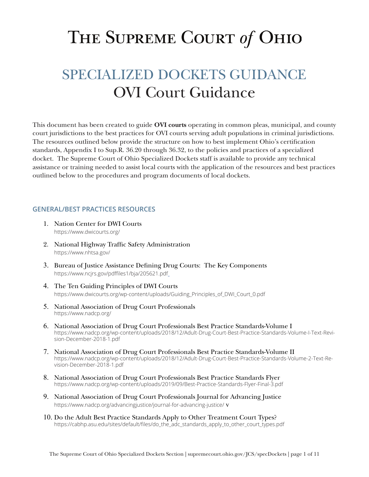# THE SUPREME COURT of OHIO

# SPECIALIZED DOCKETS GUIDANCE OVI Court Guidance

This document has been created to guide **OVI courts** operating in common pleas, municipal, and county court jurisdictions to the best practices for OVI courts serving adult populations in criminal jurisdictions. The resources outlined below provide the structure on how to best implement Ohio's certification standards, Appendix I to Sup.R. 36.20 through 36.32, to the policies and practices of a specialized docket. The Supreme Court of Ohio Specialized Dockets staff is available to provide any technical assistance or training needed to assist local courts with the application of the resources and best practices outlined below to the procedures and program documents of local dockets.

# **GENERAL/BEST PRACTICES RESOURCES**

- 1. Nation Center for DWI Courts <https://www.dwicourts.org/>
- 2. National Highway Traffic Safety Administration <https://www.nhtsa.gov/>
- 3. Bureau of Justice Assistance Defining Drug Courts: The Key Components <https://www.ncjrs.gov/pdffiles1/bja/205621.pdf>
- 4. The Ten Guiding Principles of DWI Courts [https://www.dwicourts.org/wp-content/uploads/Guiding\\_Principles\\_of\\_DWI\\_Court\\_0.pdf](https://www.dwicourts.org/wp-content/uploads/Guiding_Principles_of_DWI_Court_0.pdf)
- 5. National Association of Drug Court Professionals <https://www.nadcp.org/>
- 6. National Association of Drug Court Professionals Best Practice Standards-Volume I [https://www.nadcp.org/wp-content/uploads/2018/12/Adult-Drug-Court-Best-Practice-Standards-Volume-I-Text-Revi](https://www.nadcp.org/wp-content/uploads/2018/12/Adult-Drug-Court-Best-Practice-Standards-Volume-I-Text-Revision-December-2018-1.pdf)[sion-December-2018-1.pdf](https://www.nadcp.org/wp-content/uploads/2018/12/Adult-Drug-Court-Best-Practice-Standards-Volume-I-Text-Revision-December-2018-1.pdf)
- 7. National Association of Drug Court Professionals Best Practice Standards-Volume II [https://www.nadcp.org/wp-content/uploads/2018/12/Adult-Drug-Court-Best-Practice-Standards-Volume-2-Text-Re](https://www.nadcp.org/wp-content/uploads/2018/12/Adult-Drug-Court-Best-Practice-Standards-Volume-2-Text-Revision-December-2018-1.pdf)[vision-December-2018-1.pdf](https://www.nadcp.org/wp-content/uploads/2018/12/Adult-Drug-Court-Best-Practice-Standards-Volume-2-Text-Revision-December-2018-1.pdf)
- 8. National Association of Drug Court Professionals Best Practice Standards Flyer <https://www.nadcp.org/wp-content/uploads/2019/09/Best-Practice-Standards-Flyer-Final-3.pdf>
- 9. National Association of Drug Court Professionals Journal for Advancing Justice <https://www.nadcp.org/advancingjustice/journal-for-advancing-justice/> v
- 10. Do the Adult Best Practice Standards Apply to Other Treatment Court Types? [https://cabhp.asu.edu/sites/default/files/do\\_the\\_adc\\_standards\\_apply\\_to\\_other\\_court\\_types.pdf](https://cabhp.asu.edu/sites/default/files/do_the_adc_standards_apply_to_other_court_types.pdf)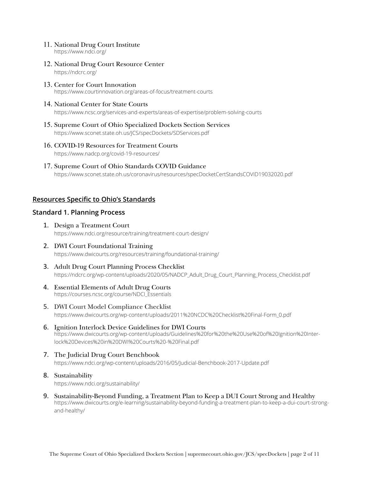#### 11. National Drug Court Institute <https://www.ndci.org/>

- 12. National Drug Court Resource Center <https://ndcrc.org/>
- 13. Center for Court Innovation [https://www.courtinnovation.org/areas-of-focus/treatment-courts](https://www.courtinnovation.org/areas-of-focus/treatment-courts )

### 14. National Center for State Courts

<https://www.ncsc.org/services-and-experts/areas-of-expertise/problem-solving-courts>

- 15. Supreme Court of Ohio Specialized Dockets Section Services <https://www.sconet.state.oh.us/JCS/specDockets/SDServices.pdf>
- 16. COVID-19 Resources for Treatment Courts <https://www.nadcp.org/covid-19-resources/>
- 17. Supreme Court of Ohio Standards COVID Guidance <https://www.sconet.state.oh.us/coronavirus/resources/specDocketCertStandsCOVID19032020.pdf>

# **Resources Specific to Ohio's Standards**

# **Standard 1. Planning Process**

- 1. Design a Treatment Court <https://www.ndci.org/resource/training/treatment-court-design/>
- 2. DWI Court Foundational Training <https://www.dwicourts.org/resources/training/foundational-training/>
- 3. Adult Drug Court Planning Process Checklist [https://ndcrc.org/wp-content/uploads/2020/05/NADCP\\_Adult\\_Drug\\_Court\\_Planning\\_Process\\_Checklist.pdf](https://ndcrc.org/wp-content/uploads/2020/05/NADCP_Adult_Drug_Court_Planning_Process_Checklist.pdf)
- 4. Essential Elements of Adult Drug Courts [https://courses.ncsc.org/course/NDCI\\_Essentials](https://courses.ncsc.org/course/NDCI_Essentials  )
- 5. DWI Court Model Compliance Checklist [https://www.dwicourts.org/wp-content/uploads/2011%20NCDC%20Checklist%20Final-Form\\_0.pdf](https://www.dwicourts.org/wp-content/uploads/2011%20NCDC%20Checklist%20Final-Form_0.pdf)
- 6. Ignition Interlock Device Guidelines for DWI Courts [https://www.dwicourts.org/wp-content/uploads/Guidelines%20for%20the%20Use%20of%20Ignition%20Inter](https://www.dwicourts.org/wp-content/uploads/Guidelines%20for%20the%20Use%20of%20Ignition%20Interlock%20Devices%20in%20DWI%20Courts%20-%20Final.pdf)[lock%20Devices%20in%20DWI%20Courts%20-%20Final.pdf](https://www.dwicourts.org/wp-content/uploads/Guidelines%20for%20the%20Use%20of%20Ignition%20Interlock%20Devices%20in%20DWI%20Courts%20-%20Final.pdf)
- 7. The Judicial Drug Court Benchbook <https://www.ndci.org/wp-content/uploads/2016/05/Judicial-Benchbook-2017-Update.pdf>
- 8. Sustainability <https://www.ndci.org/sustainability/>
- 9. Sustainability-Beyond Funding, a Treatment Plan to Keep a DUI Court Strong and Healthy [https://www.dwicourts.org/e-learning/sustainability-beyond-funding-a-treatment-plan-to-keep-a-dui-court-strong](https://www.dwicourts.org/e-learning/sustainability-beyond-funding-a-treatment-plan-to-keep-a-dui-court-strong-and-healthy/)[and-healthy/](https://www.dwicourts.org/e-learning/sustainability-beyond-funding-a-treatment-plan-to-keep-a-dui-court-strong-and-healthy/)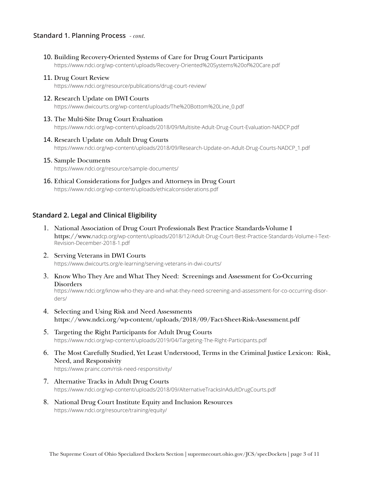### **Standard 1. Planning Process** *- cont.*

10. Building Recovery-Oriented Systems of Care for Drug Court Participants

<https://www.ndci.org/wp-content/uploads/Recovery-Oriented%20Systems%20of%20Care.pdf>

- 11. Drug Court Review <https://www.ndci.org/resource/publications/drug-court-review/>
- 12. Research Update on DWI Courts [https://www.dwicourts.org/wp-content/uploads/The%20Bottom%20Line\\_0.pdf](https://www.dwicourts.org/wp-content/uploads/The%20Bottom%20Line_0.pdf)
- 13. The Multi-Site Drug Court Evaluation <https://www.ndci.org/wp-content/uploads/2018/09/Multisite-Adult-Drug-Court-Evaluation-NADCP.pdf>
- 14. Research Update on Adult Drug Courts [https://www.ndci.org/wp-content/uploads/2018/09/Research-Update-on-Adult-Drug-Courts-NADCP\\_1.pdf](https://www.ndci.org/wp-content/uploads/2018/09/Research-Update-on-Adult-Drug-Courts-NADCP_1.pdf)
- 15. Sample Documents <https://www.ndci.org/resource/sample-documents/>
- 16. Ethical Considerations for Judges and Attorneys in Drug Court <https://www.ndci.org/wp-content/uploads/ethicalconsiderations.pdf>

# **Standard 2. Legal and Clinical Eligibility**

- 1. National Association of Drug Court Professionals Best Practice Standards-Volume I https://www.[nadcp.org/wp-content/uploads/2018/12/Adult-Drug-Court-Best-Practice-Standards-Volume-I-Text-](https://www.nadcp.org/wp-content/uploads/2018/12/Adult-Drug-Court-Best-Practice-Standards-Volume-I-Text-Revision-December-2018-1.pdf)[Revision-December-2018-1.pdf](https://www.nadcp.org/wp-content/uploads/2018/12/Adult-Drug-Court-Best-Practice-Standards-Volume-I-Text-Revision-December-2018-1.pdf)
- 2. Serving Veterans in DWI Courts <https://www.dwicourts.org/e-learning/serving-veterans-in-dwi-courts/>
- 3. Know Who They Are and What They Need: Screenings and Assessment for Co-Occurring **Disorders**

[https://www.ndci.org/know-who-they-are-and-what-they-need-screening-and-assessment-for-co-occurring-disor](https://www.ndci.org/know-who-they-are-and-what-they-need-screening-and-assessment-for-co-occurring-disorders/)[ders/](https://www.ndci.org/know-who-they-are-and-what-they-need-screening-and-assessment-for-co-occurring-disorders/)

- 4. Selecting and Using Risk and Need Assessments <https://www.ndci.org/wp-content/uploads/2018/09/Fact-Sheet-Risk-Assessment.pdf>
- 5. Targeting the Right Participants for Adult Drug Courts <https://www.ndci.org/wp-content/uploads/2019/04/Targeting-The-Right-Participants.pdf>
- 6. The Most Carefully Studied, Yet Least Understood, Terms in the Criminal Justice Lexicon: Risk, Need, and Responsivity <https://www.prainc.com/risk-need-responsitivity/>
- 7. Alternative Tracks in Adult Drug Courts <https://www.ndci.org/wp-content/uploads/2018/09/AlternativeTracksInAdultDrugCourts.pdf>
- 8. National Drug Court Institute Equity and Inclusion Resources <https://www.ndci.org/resource/training/equity/>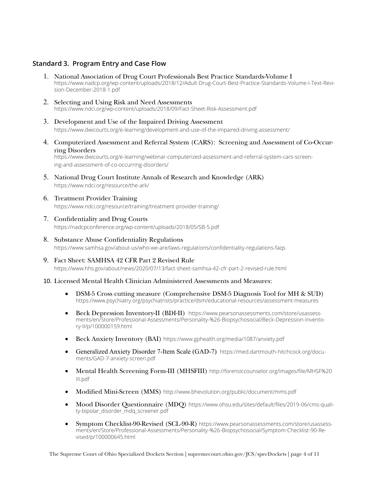# **Standard 3. Program Entry and Case Flow**

- 1. National Association of Drug Court Professionals Best Practice Standards-Volume I [https://www.nadcp.org/wp-content/uploads/2018/12/Adult-Drug-Court-Best-Practice-Standards-Volume-I-Text-Revi](https://www.nadcp.org/wp-content/uploads/2018/12/Adult-Drug-Court-Best-Practice-Standards-Volume-I-Text-Revision-December-2018-1.pdf)[sion-December-2018-1.pdf](https://www.nadcp.org/wp-content/uploads/2018/12/Adult-Drug-Court-Best-Practice-Standards-Volume-I-Text-Revision-December-2018-1.pdf)
- 2. Selecting and Using Risk and Need Assessments [https://www.ndci.org/wp-content/uploads/2018/09/Fact-Sheet-Risk-Assessment.pdf](https://www.ndci.org/wp-content/uploads/2018/09/Fact-Sheet-Risk-Assessment.pdf )
- 3. Development and Use of the Impaired Driving Assessment <https://www.dwicourts.org/e-learning/development-and-use-of-the-impaired-driving-assessment/>
- 4. Computerized Assessment and Referral System (CARS): Screening and Assessment of Co-Occurring Disorders

[https://www.dwicourts.org/e-learning/webinar-computerized-assessment-and-referral-system-cars-screen](https://www.dwicourts.org/e-learning/webinar-computerized-assessment-and-referral-system-cars-screening-and-assessment-of-co-occurring-disorders/)[ing-and-assessment-of-co-occurring-disorders/](https://www.dwicourts.org/e-learning/webinar-computerized-assessment-and-referral-system-cars-screening-and-assessment-of-co-occurring-disorders/)

- 5. National Drug Court Institute Annals of Research and Knowledge (ARK) <https://www.ndci.org/resource/the-ark/>
- 6. Treatment Provider Training <https://www.ndci.org/resource/training/treatment-provider-training/>
- 7. Confidentiality and Drug Courts <https://nadcpconference.org/wp-content/uploads/2018/05/SB-5.pdf>
- 8. Substance Abuse Confidentiality Regulations <https://www.samhsa.gov/about-us/who-we-are/laws-regulations/confidentiality-regulations-faqs>
- 9. Fact Sheet: SAMHSA 42 CFR Part 2 Revised Rule <https://www.hhs.gov/about/news/2020/07/13/fact-sheet-samhsa-42-cfr-part-2-revised-rule.html>
- 10. Licensed Mental Health Clinician Administered Assessments and Measures:
	- DSM-5 Cross cutting measure (Comprehensive DSM-5 Diagnosis Tool for MH & SUD) [https://www.psychiatry.org/psychiatrists/practice/dsm/educational-resources/assessment-measures](https://urldefense.proofpoint.com/v2/url?u=https-3A__www.psychiatry.org_psychiatrists_practice_dsm_educational-2Dresources_assessment-2Dmeasures&d=DwMF3g&c=6KMr9aKcY5ZeTt8IYXTvlC5MSwtdlUYOCK3E7eNqHsk&r=9t80u4XpN1B5eC_KqgCGH6UX9bSoZEPSrD2O8OtjMM8&m=JW21h25k9yhMpxU4gB8yAIAbGqsLPhHHLhQbiAnNPrA&s=DnkO4A0egHLfgCwKQ83a1sKwJaYWaDbfIrzsUQTN3F4&e=)
	- Beck Depression Inventory-II (BDI-II) [https://www.pearsonassessments.com/store/usassess](https://www.pearsonassessments.com/store/usassessments/en/Store/Professional-Assessments/Personality-%26-Biopsychosocial/Beck-Depression-Inventory-II/p/100000159.html)[ments/en/Store/Professional-Assessments/Personality-%26-Biopsychosocial/Beck-Depression-Invento](https://www.pearsonassessments.com/store/usassessments/en/Store/Professional-Assessments/Personality-%26-Biopsychosocial/Beck-Depression-Inventory-II/p/100000159.html)[ry-II/p/100000159.html](https://www.pearsonassessments.com/store/usassessments/en/Store/Professional-Assessments/Personality-%26-Biopsychosocial/Beck-Depression-Inventory-II/p/100000159.html)
	- Beck Anxiety Inventory (BAI) <https://www.gphealth.org/media/1087/anxiety.pdf>
	- Generalized Anxiety Disorder 7-Item Scale (GAD-7) [https://med.dartmouth-hitchcock.org/docu](https://med.dartmouth-hitchcock.org/documents/GAD-7-anxiety-screen.pdf)[ments/GAD-7-anxiety-screen.pdf](https://med.dartmouth-hitchcock.org/documents/GAD-7-anxiety-screen.pdf)
	- Mental Health Screening Form-III (MHSFIII) [http://forensiccounselor.org/images/file/MHSF%20](http://forensiccounselor.org/images/file/MHSF%20III.pdf) [III.pdf](http://forensiccounselor.org/images/file/MHSF%20III.pdf)
	- Modified Mini-Screen (MMS) <http://www.bhevolution.org/public/document/mms.pdf>
	- Mood Disorder Questionnaire (MDQ) [https://www.ohsu.edu/sites/default/files/2019-06/cms-quali](https://www.ohsu.edu/sites/default/files/2019-06/cms-quality-bipolar_disorder_mdq_screener.pdf)[ty-bipolar\\_disorder\\_mdq\\_screener.pdf](https://www.ohsu.edu/sites/default/files/2019-06/cms-quality-bipolar_disorder_mdq_screener.pdf)
	- Symptom Checklist-90-Revised (SCL-90-R) [https://www.pearsonassessments.com/store/usassess](https://www.pearsonassessments.com/store/usassessments/en/Store/Professional-Assessments/Personality-%26-Biopsychosocial/Symptom-Checklist-90-Revised/p/100000645.html)[ments/en/Store/Professional-Assessments/Personality-%26-Biopsychosocial/Symptom-Checklist-90-Re](https://www.pearsonassessments.com/store/usassessments/en/Store/Professional-Assessments/Personality-%26-Biopsychosocial/Symptom-Checklist-90-Revised/p/100000645.html)[vised/p/100000645.html](https://www.pearsonassessments.com/store/usassessments/en/Store/Professional-Assessments/Personality-%26-Biopsychosocial/Symptom-Checklist-90-Revised/p/100000645.html)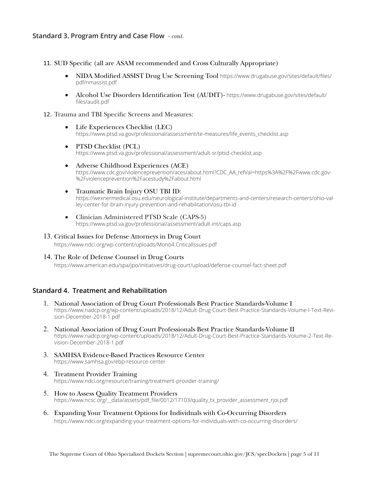# **Standard 3. Program Entry and Case Flow** *- cont.*

- 11. SUD Specific (all are ASAM recommended and Cross Culturally Appropriate)
	- • NIDA Modified ASSIST Drug Use Screening Tool [https://www.drugabuse.gov/sites/default/files/](https://www.drugabuse.gov/sites/default/files/pdf/nmassist.pdf) [pdf/nmassist.pdf](https://www.drugabuse.gov/sites/default/files/pdf/nmassist.pdf)
	- Alcohol Use Disorders Identification Test (AUDIT)- [https://www.drugabuse.gov/sites/default/](https://www.drugabuse.gov/sites/default/files/audit.pdf) [files/audit.pdf](https://www.drugabuse.gov/sites/default/files/audit.pdf)
- 12. Trauma and TBI Specific Screens and Measures:
	- Life Experiences Checklist (LEC) [https://www.ptsd.va.gov/professional/assessment/te-measures/life\\_events\\_checklist.asp](https://www.ptsd.va.gov/professional/assessment/te-measures/life_events_checklist.asp)
	- • PTSD Checklist (PCL) <https://www.ptsd.va.gov/professional/assessment/adult-sr/ptsd-checklist.asp>
	- • Adverse Childhood Experiences (ACE) [https://www.cdc.gov/violenceprevention/aces/about.html?CDC\\_AA\\_refVal=https%3A%2F%2Fwww.cdc.gov-](https://www.cdc.gov/violenceprevention/aces/about.html?CDC_AA_refVal=https%3A%2F%2Fwww.cdc.gov%2Fviolenceprevention%2Facestudy%2Fabout.html) [%2Fviolenceprevention%2Facestudy%2Fabout.html](https://www.cdc.gov/violenceprevention/aces/about.html?CDC_AA_refVal=https%3A%2F%2Fwww.cdc.gov%2Fviolenceprevention%2Facestudy%2Fabout.html)
	- • Traumatic Brain Injury OSU TBI ID: [https://wexnermedical.osu.edu/neurological-institute/departments-and-centers/research-centers/ohio-val](https://wexnermedical.osu.edu/neurological-institute/departments-and-centers/research-centers/ohio-valley-center-for-brain-injury-prevention-and-rehabilitation/osu-tbi-id)[ley-center-for-brain-injury-prevention-and-rehabilitation/osu-tbi-id](https://wexnermedical.osu.edu/neurological-institute/departments-and-centers/research-centers/ohio-valley-center-for-brain-injury-prevention-and-rehabilitation/osu-tbi-id)
	- Clinician Administered PTSD Scale (CAPS-5) <https://www.ptsd.va.gov/professional/assessment/adult-int/caps.asp>

#### 13. Critical Issues for Defense Attorneys in Drug Court

<https://www.ndci.org/wp-content/uploads/Mono4.CriticalIssues.pdf>

#### 14. The Role of Defense Counsel in Drug Courts

<https://www.american.edu/spa/jpo/initiatives/drug-court/upload/defense-counsel-fact-sheet.pdf>

# **Standard 4. Treatment and Rehabilitation**

- 1. National Association of Drug Court Professionals Best Practice Standards-Volume I [https://www.nadcp.org/wp-content/uploads/2018/12/Adult-Drug-Court-Best-Practice-Standards-Volume-I-Text-Revi](https://www.nadcp.org/wp-content/uploads/2018/12/Adult-Drug-Court-Best-Practice-Standards-Volume-I-Text-Revision-December-2018-1.pdf)[sion-December-2018-1.pdf](https://www.nadcp.org/wp-content/uploads/2018/12/Adult-Drug-Court-Best-Practice-Standards-Volume-I-Text-Revision-December-2018-1.pdf)
- 2. National Association of Drug Court Professionals Best Practice Standards-Volume II [https://www.nadcp.org/wp-content/uploads/2018/12/Adult-Drug-Court-Best-Practice-Standards-Volume-2-Text-Re](https://www.nadcp.org/wp-content/uploads/2018/12/Adult-Drug-Court-Best-Practice-Standards-Volume-2-Text-Revision-December-2018-1.pdf)[vision-December-2018-1.pdf](https://www.nadcp.org/wp-content/uploads/2018/12/Adult-Drug-Court-Best-Practice-Standards-Volume-2-Text-Revision-December-2018-1.pdf)
- 3. SAMHSA Evidence-Based Practices Resource Center <https://www.samhsa.gov/ebp-resource-center>
- 4. Treatment Provider Training <https://www.ndci.org/resource/training/treatment-provider-training/>
- 5. How to Assess Quality Treatment Providers https://www.ncsc.org/\_\_data/assets/pdf\_file/0012/17103/quality\_tx\_provider\_assessment\_rjoi.pdf
- 6. Expanding Your Treatment Options for Individuals with Co-Occurring Disorders <https://www.ndci.org/expanding-your-treatment-options-for-individuals-with-co-occurring-disorders/>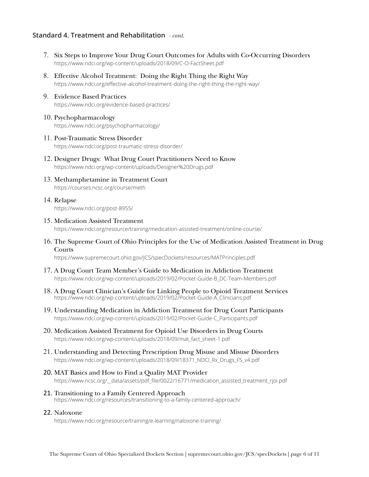# **Standard 4. Treatment and Rehabilitation** *- cont.*

- 7. Six Steps to Improve Your Drug Court Outcomes for Adults with Co-Occurring Disorders <https://www.ndci.org/wp-content/uploads/2018/09/C-O-FactSheet.pdf>
- 8. Effective Alcohol Treatment: Doing the Right Thing the Right Way <https://www.ndci.org/effective-alcohol-treatment-doing-the-right-thing-the-right-way/>
- 9. Evidence Based Practices <https://www.ndci.org/evidence-based-practices/>
- 10. Psychopharmacology <https://www.ndci.org/psychopharmacology/>
- 11. Post-Traumatic Stress Disorder <https://www.ndci.org/post-traumatic-stress-disorder/>
- 12. Designer Drugs: What Drug Court Practitioners Need to Know <https://www.ndci.org/wp-content/uploads/Designer%20Drugs.pdf>
- 13. Methamphetamine in Treatment Court <https://courses.ncsc.org/course/meth>
- 14. Relapse <https://www.ndci.org/post-8955/>
- 15. Medication Assisted Treatment

<https://www.ndci.org/resource/training/medication-assisted-treatment/online-course/>

16. The Supreme Court of Ohio Principles for the Use of Medication Assisted Treatment in Drug Courts

<https://www.supremecourt.ohio.gov/JCS/specDockets/resources/MATPrinciples.pdf>

- 17. A Drug Court Team Member's Guide to Medication in Addiction Treatment [https://www.ndci.org/wp-content/uploads/2019/02/Pocket-Guide-B\\_DC-Team-Members.pdf](https://www.ndci.org/wp-content/uploads/2019/02/Pocket-Guide-B_DC-Team-Members.pdf)
- 18. A Drug Court Clinician's Guide for Linking People to Opioid Treatment Services [https://www.ndci.org/wp-content/uploads/2019/02/Pocket-Guide-A\\_Clinicians.pdf](https://www.ndci.org/wp-content/uploads/2019/02/Pocket-Guide-A_Clinicians.pdf)
- 19. Understanding Medication in Addiction Treatment for Drug Court Participants [https://www.ndci.org/wp-content/uploads/2019/02/Pocket-Guide-C\\_Participants.pdf](https://www.ndci.org/wp-content/uploads/2019/02/Pocket-Guide-C_Participants.pdf)
- 20. Medication Assisted Treatment for Opioid Use Disorders in Drug Courts [https://www.ndci.org/wp-content/uploads/2018/09/mat\\_fact\\_sheet-1.pdf](https://www.ndci.org/wp-content/uploads/2018/09/mat_fact_sheet-1.pdf)
- 21. Understanding and Detecting Prescription Drug Misuse and Misuse Disorders [https://www.ndci.org/wp-content/uploads/2018/09/18371\\_NDCI\\_Rx\\_Drugs\\_FS\\_v4.pdf](https://www.ndci.org/wp-content/uploads/2018/09/18371_NDCI_Rx_Drugs_FS_v4.pdf)
- 20. MAT Basics and How to Find a Quality MAT Provider [https://www.ncsc.org/\\_\\_data/assets/pdf\\_file/0022/16771/medication\\_assisted\\_treatment\\_rjoi.pdf](https://www.ncsc.org/__data/assets/pdf_file/0022/16771/medication_assisted_treatment_rjoi.pdf)
- 21. Transitioning to a Family Centered Approach <https://www.ndci.org/resources/transitioning-to-a-family-centered-approach/>

#### 22. Naloxone

<https://www.ndci.org/resource/training/e-learning/naloxone-training/>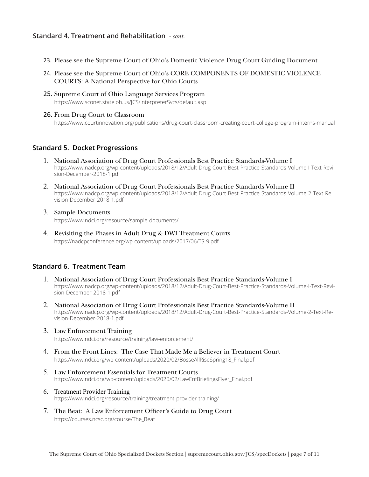# **Standard 4. Treatment and Rehabilitation** *- cont.*

- 23. Please see the Supreme Court of Ohio's Domestic Violence Drug Court Guiding Document
- 24. Please see the Supreme Court of Ohio's CORE COMPONENTS OF DOMESTIC VIOLENCE COURTS: A National Perspective for Ohio Courts
- 25. Supreme Court of Ohio Language Services Program <https://www.sconet.state.oh.us/JCS/interpreterSvcs/default.asp>
- 26. From Drug Court to Classroom

<https://www.courtinnovation.org/publications/drug-court-classroom-creating-court-college-program-interns-manual>

### **Standard 5. Docket Progressions**

- 1. National Association of Drug Court Professionals Best Practice Standards-Volume I [https://www.nadcp.org/wp-content/uploads/2018/12/Adult-Drug-Court-Best-Practice-Standards-Volume-I-Text-Revi](https://www.nadcp.org/wp-content/uploads/2018/12/Adult-Drug-Court-Best-Practice-Standards-Volume-I-Text-Revision-December-2018-1.pdf)[sion-December-2018-1.pdf](https://www.nadcp.org/wp-content/uploads/2018/12/Adult-Drug-Court-Best-Practice-Standards-Volume-I-Text-Revision-December-2018-1.pdf)
- 2. National Association of Drug Court Professionals Best Practice Standards-Volume II [https://www.nadcp.org/wp-content/uploads/2018/12/Adult-Drug-Court-Best-Practice-Standards-Volume-2-Text-Re](https://www.nadcp.org/wp-content/uploads/2018/12/Adult-Drug-Court-Best-Practice-Standards-Volume-2-Text-Revision-December-2018-1.pdf)[vision-December-2018-1.pdf](https://www.nadcp.org/wp-content/uploads/2018/12/Adult-Drug-Court-Best-Practice-Standards-Volume-2-Text-Revision-December-2018-1.pdf)
- 3. Sample Documents

<https://www.ndci.org/resource/sample-documents/>

4. Revisiting the Phases in Adult Drug & DWI Treatment Courts <https://nadcpconference.org/wp-content/uploads/2017/06/TS-9.pdf>

## **Standard 6. Treatment Team**

- 1. National Association of Drug Court Professionals Best Practice Standards-Volume I [https://www.nadcp.org/wp-content/uploads/2018/12/Adult-Drug-Court-Best-Practice-Standards-Volume-I-Text-Revi](https://www.nadcp.org/wp-content/uploads/2018/12/Adult-Drug-Court-Best-Practice-Standards-Volume-I-Text-Revision-December-2018-1.pdf)[sion-December-2018-1.pdf](https://www.nadcp.org/wp-content/uploads/2018/12/Adult-Drug-Court-Best-Practice-Standards-Volume-I-Text-Revision-December-2018-1.pdf)
- 2. National Association of Drug Court Professionals Best Practice Standards-Volume II [https://www.nadcp.org/wp-content/uploads/2018/12/Adult-Drug-Court-Best-Practice-Standards-Volume-2-Text-Re](https://www.nadcp.org/wp-content/uploads/2018/12/Adult-Drug-Court-Best-Practice-Standards-Volume-2-Text-Revision-December-2018-1.pdf)[vision-December-2018-1.pdf](https://www.nadcp.org/wp-content/uploads/2018/12/Adult-Drug-Court-Best-Practice-Standards-Volume-2-Text-Revision-December-2018-1.pdf)
- 3. Law Enforcement Training <https://www.ndci.org/resource/training/law-enforcement/>
- 4. From the Front Lines: The Case That Made Me a Believer in Treatment Court [https://www.ndci.org/wp-content/uploads/2020/02/BosseAllRiseSpring18\\_Final.pdf](https://www.ndci.org/wp-content/uploads/2020/02/BosseAllRiseSpring18_Final.pdf)
- 5. Law Enforcement Essentials for Treatment Courts [https://www.ndci.org/wp-content/uploads/2020/02/LawEnfBriefingsFlyer\\_Final.pdf](https://www.ndci.org/wp-content/uploads/2020/02/LawEnfBriefingsFlyer_Final.pdf)
- 6. Treatment Provider Training <https://www.ndci.org/resource/training/treatment-provider-training/>
- 7. The Beat: A Law Enforcement Officer's Guide to Drug Court [https://courses.ncsc.org/course/The\\_Beat](https://courses.ncsc.org/course/The_Beat)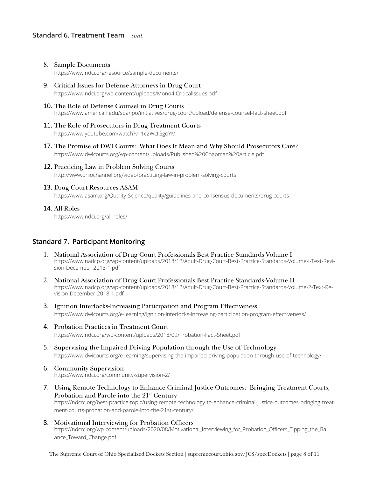# **Standard 6. Treatment Team** *- cont.*

- 8. Sample Documents <https://www.ndci.org/resource/sample-documents/>
- 9. Critical Issues for Defense Attorneys in Drug Court <https://www.ndci.org/wp-content/uploads/Mono4.CriticalIssues.pdf>
- 10. The Role of Defense Counsel in Drug Courts <https://www.american.edu/spa/jpo/initiatives/drug-court/upload/defense-counsel-fact-sheet.pdf>
- 11. The Role of Prosecutors in Drug Treatment Courts <https://www.youtube.com/watch?v=1c2WcIGgoYM>
- 17. The Promise of DWI Courts: What Does It Mean and Why Should Prosecutors Care? <https://www.dwicourts.org/wp-content/uploads/Published%20Chapman%20Article.pdf>
- 12. Practicing Law in Problem Solving Courts <http://www.ohiochannel.org/video/practicing-law-in-problem-solving-courts>
- 13. Drug Court Resources-ASAM

<https://www.asam.org/Quality-Science/quality/guidelines-and-consensus-documents/drug-courts>

#### 14. All Roles

<https://www.ndci.org/all-roles/>

# **Standard 7. Participant Monitoring**

- 1. National Association of Drug Court Professionals Best Practice Standards-Volume I [https://www.nadcp.org/wp-content/uploads/2018/12/Adult-Drug-Court-Best-Practice-Standards-Volume-I-Text-Revi](https://www.nadcp.org/wp-content/uploads/2018/12/Adult-Drug-Court-Best-Practice-Standards-Volume-I-Text-Revision-December-2018-1.pdf)[sion-December-2018-1.pdf](https://www.nadcp.org/wp-content/uploads/2018/12/Adult-Drug-Court-Best-Practice-Standards-Volume-I-Text-Revision-December-2018-1.pdf)
- 2. National Association of Drug Court Professionals Best Practice Standards-Volume II [https://www.nadcp.org/wp-content/uploads/2018/12/Adult-Drug-Court-Best-Practice-Standards-Volume-2-Text-Re](https://www.nadcp.org/wp-content/uploads/2018/12/Adult-Drug-Court-Best-Practice-Standards-Volume-2-Text-Revision-December-2018-1.pdf)[vision-December-2018-1.pdf](https://www.nadcp.org/wp-content/uploads/2018/12/Adult-Drug-Court-Best-Practice-Standards-Volume-2-Text-Revision-December-2018-1.pdf)
- 3. Ignition Interlocks-Increasing Participation and Program Effectiveness <https://www.dwicourts.org/e-learning/ignition-interlocks-increasing-participation-program-effectiveness/>
- 4. Probation Practices in Treatment Court <https://www.ndci.org/wp-content/uploads/2018/09/Probation-Fact-Sheet.pdf>
- 5. Supervising the Impaired Driving Population through the Use of Technology <https://www.dwicourts.org/e-learning/supervising-the-impaired-driving-population-through-use-of-technology/>
- 6. Community Supervision <https://www.ndci.org/community-supervision-2/>
- 7. Using Remote Technology to Enhance Criminal Justice Outcomes: Bringing Treatment Courts, Probation and Parole into the 21<sup>st</sup> Century [https://ndcrc.org/best-practice-topic/using-remote-technology-to-enhance-criminal-justice-outcomes-bringing-treat](https://ndcrc.org/best-practice-topic/using-remote-technology-to-enhance-criminal-justice-outcomes-bringing-treatment-courts-probation-and-parole-into-the-21st-century/)[ment-courts-probation-and-parole-into-the-21st-century/](https://ndcrc.org/best-practice-topic/using-remote-technology-to-enhance-criminal-justice-outcomes-bringing-treatment-courts-probation-and-parole-into-the-21st-century/)
- 8. Motivational Interviewing for Probation Officers [https://ndcrc.org/wp-content/uploads/2020/08/Motivational\\_Interviewing\\_for\\_Probation\\_Officers\\_Tipping\\_the\\_Bal](https://ndcrc.org/wp-content/uploads/2020/08/Motivational_Interviewing_for_Probation_Officers_Tipping_the_Balance_Toward_Change.pdf)[ance\\_Toward\\_Change.pdf](https://ndcrc.org/wp-content/uploads/2020/08/Motivational_Interviewing_for_Probation_Officers_Tipping_the_Balance_Toward_Change.pdf)

The Supreme Court of Ohio Specialized Dockets Section | [supremecourt.ohio.gov/JCS/specDockets](http://www.supremecourt.ohio.gov/JCS/specDockets/default.asp) | page 8 of 11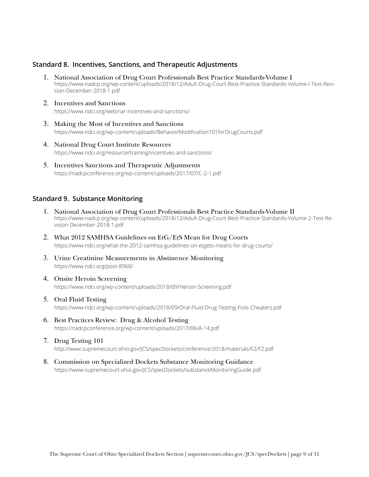## **Standard 8. Incentives, Sanctions, and Therapeutic Adjustments**

- 1. National Association of Drug Court Professionals Best Practice Standards-Volume I [https://www.nadcp.org/wp-content/uploads/2018/12/Adult-Drug-Court-Best-Practice-Standards-Volume-I-Text-Revi](https://www.nadcp.org/wp-content/uploads/2018/12/Adult-Drug-Court-Best-Practice-Standards-Volume-I-Text-Revision-December-2018-1.pdf)[sion-December-2018-1.pdf](https://www.nadcp.org/wp-content/uploads/2018/12/Adult-Drug-Court-Best-Practice-Standards-Volume-I-Text-Revision-December-2018-1.pdf)
- 2. Incentives and Sanctions <https://www.ndci.org/webinar-incentives-and-sanctions/>
- 3. Making the Most of Incentives and Sanctions <https://www.ndci.org/wp-content/uploads/BehaviorModification101forDrugCourts.pdf>
- 4. National Drug Court Institute Resources <https://www.ndci.org/resource/training/incentives-and-sanctions/>
- 5. Incentives Sanctions and Therapeutic Adjustments <https://nadcpconference.org/wp-content/uploads/2017/07/C-2-1.pdf>

# **Standard 9. Substance Monitoring**

- 1. National Association of Drug Court Professionals Best Practice Standards-Volume II [https://www.nadcp.org/wp-content/uploads/2018/12/Adult-Drug-Court-Best-Practice-Standards-Volume-2-Text-Re](https://www.nadcp.org/wp-content/uploads/2018/12/Adult-Drug-Court-Best-Practice-Standards-Volume-2-Text-Revision-December-2018-1.pdf)[vision-December-2018-1.pdf](https://www.nadcp.org/wp-content/uploads/2018/12/Adult-Drug-Court-Best-Practice-Standards-Volume-2-Text-Revision-December-2018-1.pdf)
- 2. What 2012 SAMHSA Guidelines on EtG/EtS Mean for Drug Courts <https://www.ndci.org/what-the-2012-samhsa-guidelines-on-etgets-means-for-drug-courts/>
- 3. Urine Creatinine Measurements in Abstinence Monitoring <https://www.ndci.org/post-8960/>
- 4. Onsite Heroin Screening <https://www.ndci.org/wp-content/uploads/2018/09/Heroin-Screening.pdf>
- 5. Oral Fluid Testing <https://www.ndci.org/wp-content/uploads/2018/09/Oral-Fluid-Drug-Testing-Foils-Cheaters.pdf>
- 6. Best Practices Review: Drug & Alcohol Testing <https://nadcpconference.org/wp-content/uploads/2017/06/A-14.pdf>
- 7. Drug Testing 101 <http://www.supremecourt.ohio.gov/JCS/specDockets/conference/2018/materials/F2/F2.pdf>
- 8. Commission on Specialized Dockets Substance Monitoring Guidance <https://www.supremecourt.ohio.gov/JCS/specDockets/substanceMonitoringGuide.pdf>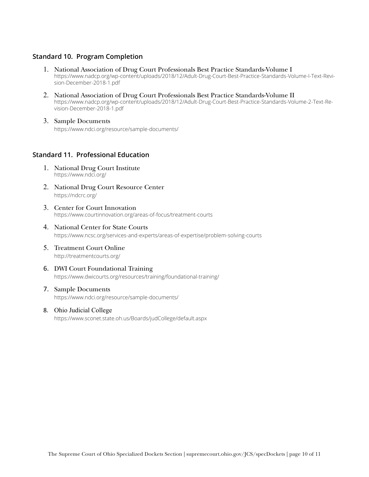# **Standard 10. Program Completion**

- 1. National Association of Drug Court Professionals Best Practice Standards-Volume I [https://www.nadcp.org/wp-content/uploads/2018/12/Adult-Drug-Court-Best-Practice-Standards-Volume-I-Text-Revi](https://www.nadcp.org/wp-content/uploads/2018/12/Adult-Drug-Court-Best-Practice-Standards-Volume-I-Text-Revision-December-2018-1.pdf)[sion-December-2018-1.pdf](https://www.nadcp.org/wp-content/uploads/2018/12/Adult-Drug-Court-Best-Practice-Standards-Volume-I-Text-Revision-December-2018-1.pdf)
- 2. National Association of Drug Court Professionals Best Practice Standards-Volume II [https://www.nadcp.org/wp-content/uploads/2018/12/Adult-Drug-Court-Best-Practice-Standards-Volume-2-Text-Re](https://www.nadcp.org/wp-content/uploads/2018/12/Adult-Drug-Court-Best-Practice-Standards-Volume-2-Text-Revision-December-2018-1.pdf)[vision-December-2018-1.pdf](https://www.nadcp.org/wp-content/uploads/2018/12/Adult-Drug-Court-Best-Practice-Standards-Volume-2-Text-Revision-December-2018-1.pdf)
- 3. Sample Documents <https://www.ndci.org/resource/sample-documents/>

### **Standard 11. Professional Education**

- 1. National Drug Court Institute <https://www.ndci.org/>
- 2. National Drug Court Resource Center <https://ndcrc.org/>
- 3. Center for Court Innovation [https://www.courtinnovation.org/areas-of-focus/treatment-courts](https://www.courtinnovation.org/areas-of-focus/treatment-courts )
- 4. National Center for State Courts <https://www.ncsc.org/services-and-experts/areas-of-expertise/problem-solving-courts>
- 5. Treatment Court Online <http://treatmentcourts.org/>
- 6. DWI Court Foundational Training <https://www.dwicourts.org/resources/training/foundational-training/>
- 7. Sample Documents <https://www.ndci.org/resource/sample-documents/>
- 8. Ohio Judicial College <https://www.sconet.state.oh.us/Boards/judCollege/default.aspx>